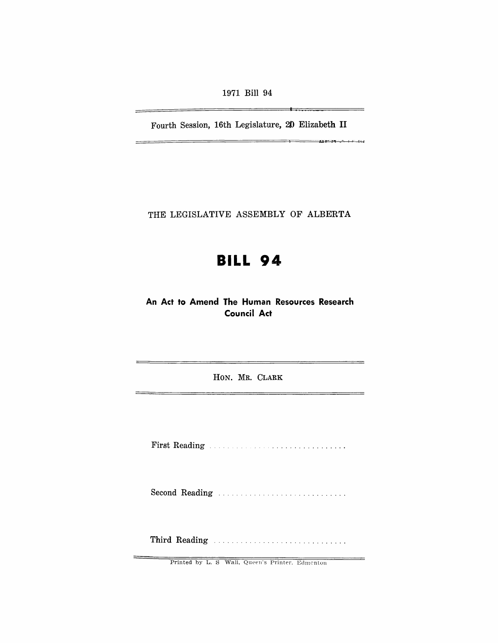1971 Bill 94

Fourth Session, 16th Legislature, 20 Elizabeth II

—

-

THE LEGISLATIVE ASSEMBLY OF ALBERTA

# **BILL 94**

An Act to Amend The Human Resources Research **Council Act** 

HON. MR. CLARK

Second Reading ................................

Third Reading ...............................

Printed by L. S Wall, Queen's Printer, Edmonton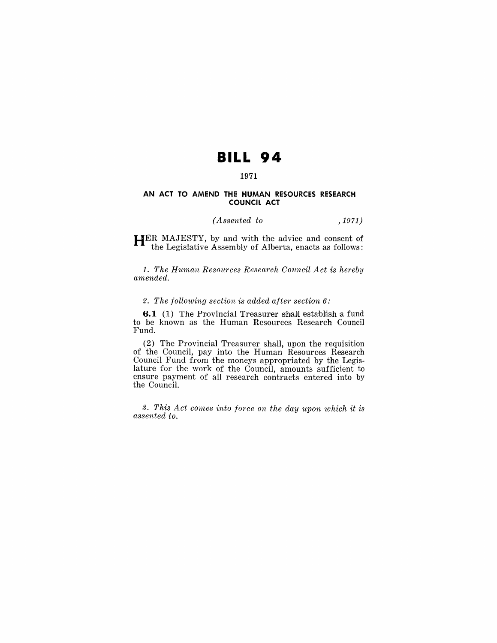## **BILL 94**

## 1971

#### **AN ACT TO AMEND THE HUMAN RESOURCES RESEARCH COUNCIL ACT**

## *(Assented to* , 1971)

**HER** MAJESTY, by and with the advice and consent of the Legislative Assembly of Alberta, enacts as follows:

1. *The Human Resources Research Council Act is hereby amended.* 

#### 2. *The following section is added after section* 6:

**6.1** (1) The Provincial Treasurer shall establish a fund to be known as the Human Resources Research Council Fund.

(2) The Provincial Treasurer shall, upon the requisition of the Council, pay into the Human Resources Research Council Fund from the moneys appropriated by the Legislature for the work of the Council, amounts sufficient to ensure payment of all research contracts entered into by the Council.

*3. This Act comes into force on the day upon which it is assented to.*